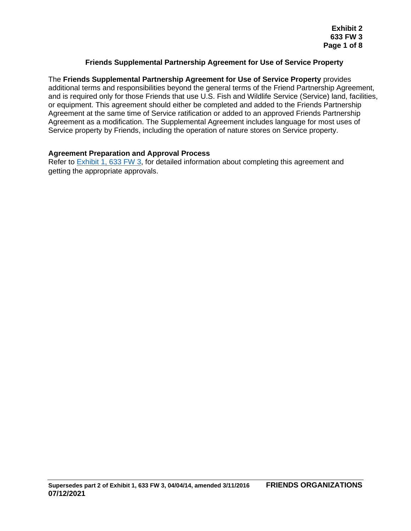### **Friends Supplemental Partnership Agreement for Use of Service Property**

The **Friends Supplemental Partnership Agreement for Use of Service Property** provides additional terms and responsibilities beyond the general terms of the Friend Partnership Agreement, and is required only for those Friends that use U.S. Fish and Wildlife Service (Service) land, facilities, or equipment. This agreement should either be completed and added to the Friends Partnership Agreement at the same time of Service ratification or added to an approved Friends Partnership Agreement as a modification. The Supplemental Agreement includes language for most uses of Service property by Friends, including the operation of nature stores on Service property.

#### **Agreement Preparation and Approval Process**

Refer to **Exhibit 1, 633 FW 3, for detailed information about completing this agreement and** getting the appropriate approvals.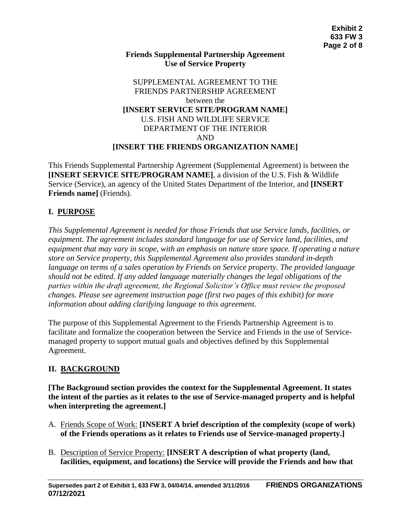#### **Friends Supplemental Partnership Agreement Use of Service Property**

### SUPPLEMENTAL AGREEMENT TO THE FRIENDS PARTNERSHIP AGREEMENT between the **[INSERT SERVICE SITE/PROGRAM NAME]** U.S. FISH AND WILDLIFE SERVICE DEPARTMENT OF THE INTERIOR AND **[INSERT THE FRIENDS ORGANIZATION NAME]**

This Friends Supplemental Partnership Agreement (Supplemental Agreement) is between the **[INSERT SERVICE SITE/PROGRAM NAME]**, a division of the U.S. Fish & Wildlife Service (Service), an agency of the United States Department of the Interior, and **[INSERT Friends name]** (Friends).

# **I. PURPOSE**

*This Supplemental Agreement is needed for those Friends that use Service lands, facilities, or equipment. The agreement includes standard language for use of Service land, facilities, and equipment that may vary in scope, with an emphasis on nature store space. If operating a nature store on Service property, this Supplemental Agreement also provides standard in-depth language on terms of a sales operation by Friends on Service property. The provided language should not be edited. If any added language materially changes the legal obligations of the parties within the draft agreement, the Regional Solicitor's Office must review the proposed changes. Please see agreement instruction page (first two pages of this exhibit) for more information about adding clarifying language to this agreement.*

The purpose of this Supplemental Agreement to the Friends Partnership Agreement is to facilitate and formalize the cooperation between the Service and Friends in the use of Servicemanaged property to support mutual goals and objectives defined by this Supplemental Agreement.

# **II. BACKGROUND**

**[The Background section provides the context for the Supplemental Agreement. It states the intent of the parties as it relates to the use of Service-managed property and is helpful when interpreting the agreement.]**

- A. Friends Scope of Work: **[INSERT A brief description of the complexity (scope of work) of the Friends operations as it relates to Friends use of Service-managed property.]**
- B. Description of Service Property: **[INSERT A description of what property (land, facilities, equipment, and locations) the Service will provide the Friends and how that**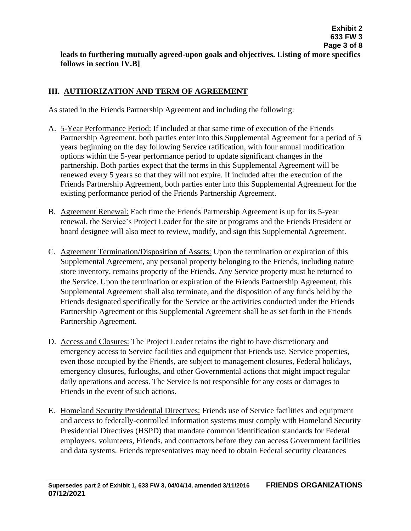# **III. AUTHORIZATION AND TERM OF AGREEMENT**

As stated in the Friends Partnership Agreement and including the following:

- A. 5-Year Performance Period: If included at that same time of execution of the Friends Partnership Agreement, both parties enter into this Supplemental Agreement for a period of 5 years beginning on the day following Service ratification, with four annual modification options within the 5-year performance period to update significant changes in the partnership. Both parties expect that the terms in this Supplemental Agreement will be renewed every 5 years so that they will not expire. If included after the execution of the Friends Partnership Agreement, both parties enter into this Supplemental Agreement for the existing performance period of the Friends Partnership Agreement.
- B. Agreement Renewal: Each time the Friends Partnership Agreement is up for its 5-year renewal, the Service's Project Leader for the site or programs and the Friends President or board designee will also meet to review, modify, and sign this Supplemental Agreement.
- C. Agreement Termination/Disposition of Assets: Upon the termination or expiration of this Supplemental Agreement, any personal property belonging to the Friends, including nature store inventory, remains property of the Friends. Any Service property must be returned to the Service. Upon the termination or expiration of the Friends Partnership Agreement, this Supplemental Agreement shall also terminate, and the disposition of any funds held by the Friends designated specifically for the Service or the activities conducted under the Friends Partnership Agreement or this Supplemental Agreement shall be as set forth in the Friends Partnership Agreement.
- D. Access and Closures: The Project Leader retains the right to have discretionary and emergency access to Service facilities and equipment that Friends use. Service properties, even those occupied by the Friends, are subject to management closures, Federal holidays, emergency closures, furloughs, and other Governmental actions that might impact regular daily operations and access. The Service is not responsible for any costs or damages to Friends in the event of such actions.
- E. Homeland Security Presidential Directives: Friends use of Service facilities and equipment and access to federally-controlled information systems must comply with Homeland Security Presidential Directives (HSPD) that mandate common identification standards for Federal employees, volunteers, Friends, and contractors before they can access Government facilities and data systems. Friends representatives may need to obtain Federal security clearances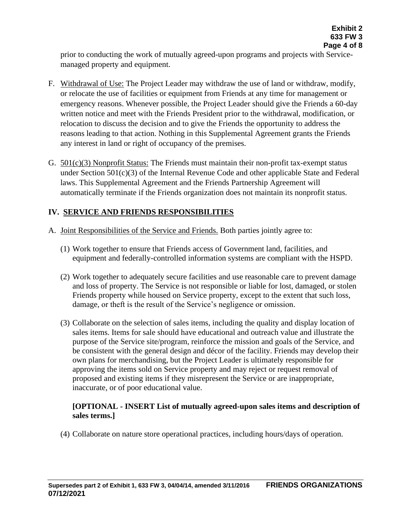prior to conducting the work of mutually agreed-upon programs and projects with Servicemanaged property and equipment.

- F. Withdrawal of Use: The Project Leader may withdraw the use of land or withdraw, modify, or relocate the use of facilities or equipment from Friends at any time for management or emergency reasons. Whenever possible, the Project Leader should give the Friends a 60-day written notice and meet with the Friends President prior to the withdrawal, modification, or relocation to discuss the decision and to give the Friends the opportunity to address the reasons leading to that action. Nothing in this Supplemental Agreement grants the Friends any interest in land or right of occupancy of the premises.
- G. 501(c)(3) Nonprofit Status: The Friends must maintain their non-profit tax-exempt status under Section 501(c)(3) of the Internal Revenue Code and other applicable State and Federal laws. This Supplemental Agreement and the Friends Partnership Agreement will automatically terminate if the Friends organization does not maintain its nonprofit status.

# **IV. SERVICE AND FRIENDS RESPONSIBILITIES**

- A. Joint Responsibilities of the Service and Friends. Both parties jointly agree to:
	- (1) Work together to ensure that Friends access of Government land, facilities, and equipment and federally-controlled information systems are compliant with the HSPD.
	- (2) Work together to adequately secure facilities and use reasonable care to prevent damage and loss of property. The Service is not responsible or liable for lost, damaged, or stolen Friends property while housed on Service property, except to the extent that such loss, damage, or theft is the result of the Service's negligence or omission.
	- (3) Collaborate on the selection of sales items, including the quality and display location of sales items. Items for sale should have educational and outreach value and illustrate the purpose of the Service site/program, reinforce the mission and goals of the Service, and be consistent with the general design and décor of the facility. Friends may develop their own plans for merchandising, but the Project Leader is ultimately responsible for approving the items sold on Service property and may reject or request removal of proposed and existing items if they misrepresent the Service or are inappropriate, inaccurate, or of poor educational value.

# **[OPTIONAL - INSERT List of mutually agreed-upon sales items and description of sales terms.]**

(4) Collaborate on nature store operational practices, including hours/days of operation.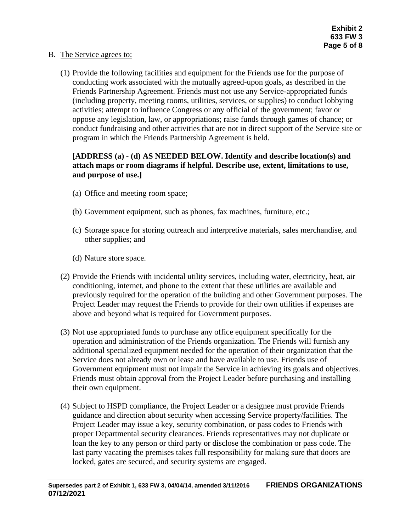#### B. The Service agrees to:

(1) Provide the following facilities and equipment for the Friends use for the purpose of conducting work associated with the mutually agreed-upon goals, as described in the Friends Partnership Agreement. Friends must not use any Service-appropriated funds (including property, meeting rooms, utilities, services, or supplies) to conduct lobbying activities; attempt to influence Congress or any official of the government; favor or oppose any legislation, law, or appropriations; raise funds through games of chance; or conduct fundraising and other activities that are not in direct support of the Service site or program in which the Friends Partnership Agreement is held.

### **[ADDRESS (a) - (d) AS NEEDED BELOW. Identify and describe location(s) and attach maps or room diagrams if helpful. Describe use, extent, limitations to use, and purpose of use.]**

- (a) Office and meeting room space;
- (b) Government equipment, such as phones, fax machines, furniture, etc.;
- (c) Storage space for storing outreach and interpretive materials, sales merchandise, and other supplies; and
- (d) Nature store space.
- (2) Provide the Friends with incidental utility services, including water, electricity, heat, air conditioning, internet, and phone to the extent that these utilities are available and previously required for the operation of the building and other Government purposes. The Project Leader may request the Friends to provide for their own utilities if expenses are above and beyond what is required for Government purposes.
- (3) Not use appropriated funds to purchase any office equipment specifically for the operation and administration of the Friends organization. The Friends will furnish any additional specialized equipment needed for the operation of their organization that the Service does not already own or lease and have available to use. Friends use of Government equipment must not impair the Service in achieving its goals and objectives. Friends must obtain approval from the Project Leader before purchasing and installing their own equipment.
- (4) Subject to HSPD compliance, the Project Leader or a designee must provide Friends guidance and direction about security when accessing Service property/facilities. The Project Leader may issue a key, security combination, or pass codes to Friends with proper Departmental security clearances. Friends representatives may not duplicate or loan the key to any person or third party or disclose the combination or pass code. The last party vacating the premises takes full responsibility for making sure that doors are locked, gates are secured, and security systems are engaged.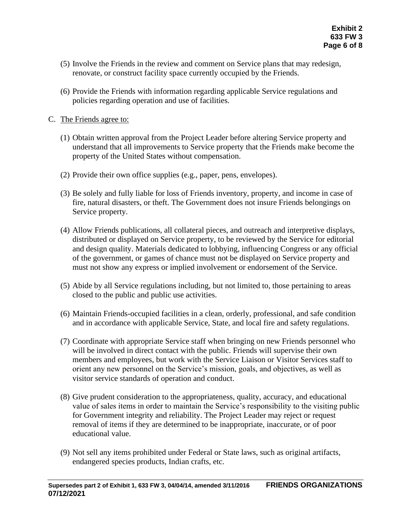- (5) Involve the Friends in the review and comment on Service plans that may redesign, renovate, or construct facility space currently occupied by the Friends.
- (6) Provide the Friends with information regarding applicable Service regulations and policies regarding operation and use of facilities.

### C. The Friends agree to:

- (1) Obtain written approval from the Project Leader before altering Service property and understand that all improvements to Service property that the Friends make become the property of the United States without compensation.
- (2) Provide their own office supplies (e.g., paper, pens, envelopes).
- (3) Be solely and fully liable for loss of Friends inventory, property, and income in case of fire, natural disasters, or theft. The Government does not insure Friends belongings on Service property.
- (4) Allow Friends publications, all collateral pieces, and outreach and interpretive displays, distributed or displayed on Service property, to be reviewed by the Service for editorial and design quality. Materials dedicated to lobbying, influencing Congress or any official of the government, or games of chance must not be displayed on Service property and must not show any express or implied involvement or endorsement of the Service.
- (5) Abide by all Service regulations including, but not limited to, those pertaining to areas closed to the public and public use activities.
- (6) Maintain Friends-occupied facilities in a clean, orderly, professional, and safe condition and in accordance with applicable Service, State, and local fire and safety regulations.
- (7) Coordinate with appropriate Service staff when bringing on new Friends personnel who will be involved in direct contact with the public. Friends will supervise their own members and employees, but work with the Service Liaison or Visitor Services staff to orient any new personnel on the Service's mission, goals, and objectives, as well as visitor service standards of operation and conduct.
- (8) Give prudent consideration to the appropriateness, quality, accuracy, and educational value of sales items in order to maintain the Service's responsibility to the visiting public for Government integrity and reliability. The Project Leader may reject or request removal of items if they are determined to be inappropriate, inaccurate, or of poor educational value.
- (9) Not sell any items prohibited under Federal or State laws, such as original artifacts, endangered species products, Indian crafts, etc.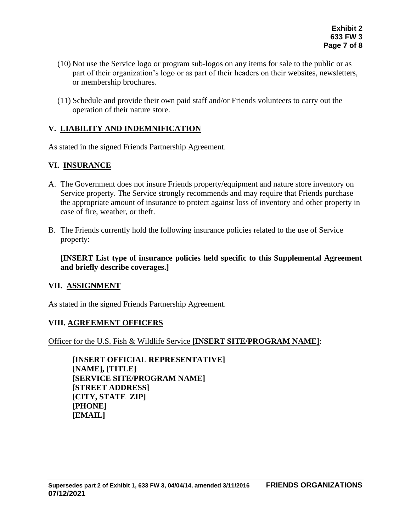- (10) Not use the Service logo or program sub-logos on any items for sale to the public or as part of their organization's logo or as part of their headers on their websites, newsletters, or membership brochures.
- (11) Schedule and provide their own paid staff and/or Friends volunteers to carry out the operation of their nature store.

# **V. LIABILITY AND INDEMNIFICATION**

As stated in the signed Friends Partnership Agreement.

# **VI. INSURANCE**

- A. The Government does not insure Friends property/equipment and nature store inventory on Service property. The Service strongly recommends and may require that Friends purchase the appropriate amount of insurance to protect against loss of inventory and other property in case of fire, weather, or theft.
- B. The Friends currently hold the following insurance policies related to the use of Service property:

**[INSERT List type of insurance policies held specific to this Supplemental Agreement and briefly describe coverages.]**

### **VII. ASSIGNMENT**

As stated in the signed Friends Partnership Agreement.

### **VIII. AGREEMENT OFFICERS**

Officer for the U.S. Fish & Wildlife Service **[INSERT SITE/PROGRAM NAME]**:

**[INSERT OFFICIAL REPRESENTATIVE] [NAME], [TITLE] [SERVICE SITE/PROGRAM NAME] [STREET ADDRESS] [CITY, STATE ZIP] [PHONE] [EMAIL]**